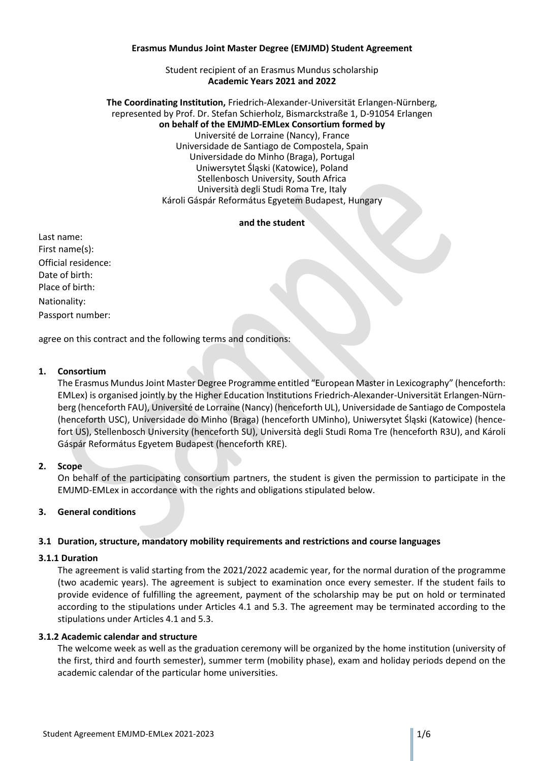#### **Erasmus Mundus Joint Master Degree (EMJMD) Student Agreement**

#### Student recipient of an Erasmus Mundus scholarship **Academic Years 2021 and 2022**

#### **The Coordinating Institution,** Friedrich-Alexander-Universität Erlangen-Nürnberg, represented by Prof. Dr. Stefan Schierholz, Bismarckstraße 1, D-91054 Erlangen **on behalf of the EMJMD-EMLex Consortium formed by** Université de Lorraine (Nancy), France Universidade de Santiago de Compostela, Spain Universidade do Minho (Braga), Portugal Uniwersytet Śląski (Katowice), Poland Stellenbosch University, South Africa Università degli Studi Roma Tre, Italy Károli Gáspár Református Egyetem Budapest, Hungary

#### **and the student**

Last name: First name(s): Official residence: Date of birth: Place of birth: Nationality: Passport number:

agree on this contract and the following terms and conditions:

# **1. Consortium**

The Erasmus Mundus Joint Master Degree Programme entitled "European Master in Lexicography" (henceforth: EMLex) is organised jointly by the Higher Education Institutions Friedrich-Alexander-Universität Erlangen-Nürnberg (henceforth FAU), Université de Lorraine (Nancy) (henceforth UL), Universidade de Santiago de Compostela (henceforth USC), Universidade do Minho (Braga) (henceforth UMinho), Uniwersytet Śląski (Katowice) (hencefort US), Stellenbosch University (henceforth SU), Università degli Studi Roma Tre (henceforth R3U), and Károli Gáspár Református Egyetem Budapest (henceforth KRE).

# **2. Scope**

On behalf of the participating consortium partners, the student is given the permission to participate in the EMJMD-EMLex in accordance with the rights and obligations stipulated below.

# **3. General conditions**

# **3.1 Duration, structure, mandatory mobility requirements and restrictions and course languages**

# **3.1.1 Duration**

The agreement is valid starting from the 2021/2022 academic year, for the normal duration of the programme (two academic years). The agreement is subject to examination once every semester. If the student fails to provide evidence of fulfilling the agreement, payment of the scholarship may be put on hold or terminated according to the stipulations under Articles 4.1 and 5.3. The agreement may be terminated according to the stipulations under Articles 4.1 and 5.3.

# **3.1.2 Academic calendar and structure**

The welcome week as well as the graduation ceremony will be organized by the home institution (university of the first, third and fourth semester), summer term (mobility phase), exam and holiday periods depend on the academic calendar of the particular home universities.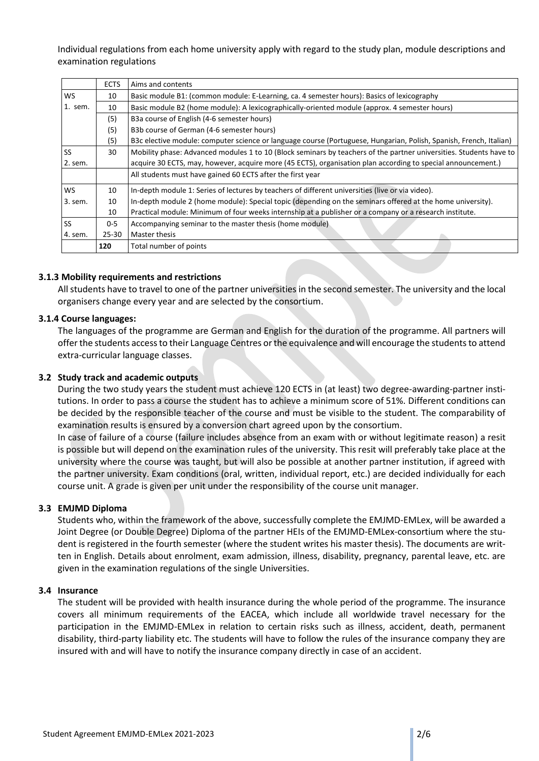Individual regulations from each home university apply with regard to the study plan, module descriptions and examination regulations

|           | <b>ECTS</b> | Aims and contents                                                                                                  |  |  |  |
|-----------|-------------|--------------------------------------------------------------------------------------------------------------------|--|--|--|
|           |             |                                                                                                                    |  |  |  |
| <b>WS</b> | 10          | Basic module B1: (common module: E-Learning, ca. 4 semester hours): Basics of lexicography                         |  |  |  |
| 1. sem.   | 10          | Basic module B2 (home module): A lexicographically-oriented module (approx. 4 semester hours)                      |  |  |  |
|           | (5)         | B3a course of English (4-6 semester hours)                                                                         |  |  |  |
|           | (5)         | B3b course of German (4-6 semester hours)                                                                          |  |  |  |
|           | (5)         | B3c elective module: computer science or language course (Portuguese, Hungarian, Polish, Spanish, French, Italian) |  |  |  |
| <b>SS</b> | 30          | Mobility phase: Advanced modules 1 to 10 (Block seminars by teachers of the partner universities. Students have to |  |  |  |
| 2. sem.   |             | acquire 30 ECTS, may, however, acquire more (45 ECTS), organisation plan according to special announcement.)       |  |  |  |
|           |             | All students must have gained 60 ECTS after the first year                                                         |  |  |  |
| <b>WS</b> | 10          | In-depth module 1: Series of lectures by teachers of different universities (live or via video).                   |  |  |  |
| 3. sem.   | 10          | In-depth module 2 (home module): Special topic (depending on the seminars offered at the home university).         |  |  |  |
|           | 10          | Practical module: Minimum of four weeks internship at a publisher or a company or a research institute.            |  |  |  |
| <b>SS</b> | $0 - 5$     | Accompanying seminar to the master thesis (home module)                                                            |  |  |  |
| 4. sem.   | 25-30       | Master thesis                                                                                                      |  |  |  |
|           | 120         | Total number of points                                                                                             |  |  |  |

# **3.1.3 Mobility requirements and restrictions**

All students have to travel to one of the partner universities in the second semester. The university and the local organisers change every year and are selected by the consortium.

# **3.1.4 Course languages:**

The languages of the programme are German and English for the duration of the programme. All partners will offer the students access to their Language Centres or the equivalence and will encourage the students to attend extra-curricular language classes.

# **3.2 Study track and academic outputs**

During the two study years the student must achieve 120 ECTS in (at least) two degree-awarding-partner institutions. In order to pass a course the student has to achieve a minimum score of 51%. Different conditions can be decided by the responsible teacher of the course and must be visible to the student. The comparability of examination results is ensured by a conversion chart agreed upon by the consortium.

In case of failure of a course (failure includes absence from an exam with or without legitimate reason) a resit is possible but will depend on the examination rules of the university. This resit will preferably take place at the university where the course was taught, but will also be possible at another partner institution, if agreed with the partner university. Exam conditions (oral, written, individual report, etc.) are decided individually for each course unit. A grade is given per unit under the responsibility of the course unit manager.

# **3.3 EMJMD Diploma**

Students who, within the framework of the above, successfully complete the EMJMD-EMLex, will be awarded a Joint Degree (or Double Degree) Diploma of the partner HEIs of the EMJMD-EMLex-consortium where the student is registered in the fourth semester (where the student writes his master thesis). The documents are written in English. Details about enrolment, exam admission, illness, disability, pregnancy, parental leave, etc. are given in the examination regulations of the single Universities.

# **3.4 Insurance**

The student will be provided with health insurance during the whole period of the programme. The insurance covers all minimum requirements of the EACEA, which include all worldwide travel necessary for the participation in the EMJMD-EMLex in relation to certain risks such as illness, accident, death, permanent disability, third-party liability etc. The students will have to follow the rules of the insurance company they are insured with and will have to notify the insurance company directly in case of an accident.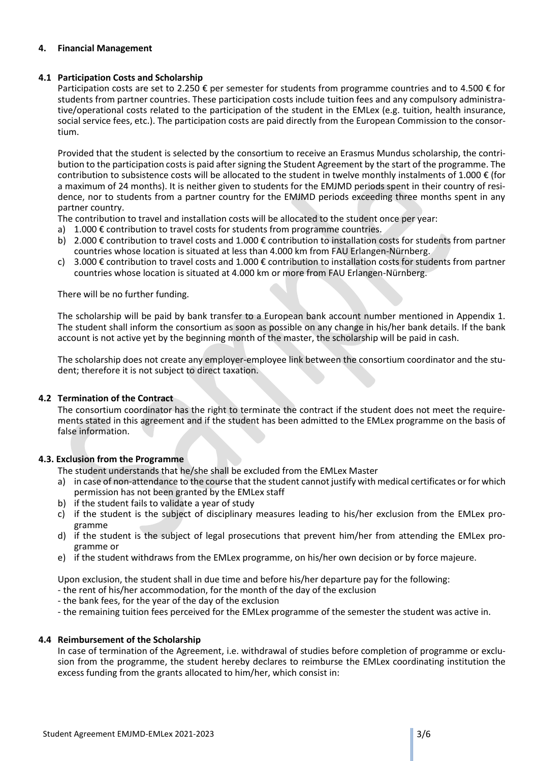# **4. Financial Management**

# **4.1 Participation Costs and Scholarship**

Participation costs are set to 2.250  $\epsilon$  per semester for students from programme countries and to 4.500  $\epsilon$  for students from partner countries. These participation costs include tuition fees and any compulsory administrative/operational costs related to the participation of the student in the EMLex (e.g. tuition, health insurance, social service fees, etc.). The participation costs are paid directly from the European Commission to the consortium.

Provided that the student is selected by the consortium to receive an Erasmus Mundus scholarship, the contribution to the participation costs is paid after signing the Student Agreement by the start of the programme. The contribution to subsistence costs will be allocated to the student in twelve monthly instalments of 1.000  $\epsilon$  (for a maximum of 24 months). It is neither given to students for the EMJMD periods spent in their country of residence, nor to students from a partner country for the EMJMD periods exceeding three months spent in any partner country.

The contribution to travel and installation costs will be allocated to the student once per year:

- a)  $1.000 \epsilon$  contribution to travel costs for students from programme countries.
- b) 2.000 € contribution to travel costs and 1.000 € contribution to installation costs for students from partner countries whose location is situated at less than 4.000 km from FAU Erlangen-Nürnberg.
- c) 3.000  $\epsilon$  contribution to travel costs and 1.000  $\epsilon$  contribution to installation costs for students from partner countries whose location is situated at 4.000 km or more from FAU Erlangen-Nürnberg.

There will be no further funding.

The scholarship will be paid by bank transfer to a European bank account number mentioned in Appendix 1. The student shall inform the consortium as soon as possible on any change in his/her bank details. If the bank account is not active yet by the beginning month of the master, the scholarship will be paid in cash.

The scholarship does not create any employer-employee link between the consortium coordinator and the student; therefore it is not subject to direct taxation.

# **4.2 Termination of the Contract**

The consortium coordinator has the right to terminate the contract if the student does not meet the requirements stated in this agreement and if the student has been admitted to the EMLex programme on the basis of false information.

# **4.3. Exclusion from the Programme**

The student understands that he/she shall be excluded from the EMLex Master

- a) in case of non-attendance to the course that the student cannot justify with medical certificates or for which permission has not been granted by the EMLex staff
- b) if the student fails to validate a year of study
- c) if the student is the subject of disciplinary measures leading to his/her exclusion from the EMLex programme
- d) if the student is the subject of legal prosecutions that prevent him/her from attending the EMLex programme or
- e) if the student withdraws from the EMLex programme, on his/her own decision or by force majeure.

Upon exclusion, the student shall in due time and before his/her departure pay for the following:

- the rent of his/her accommodation, for the month of the day of the exclusion
- the bank fees, for the year of the day of the exclusion
- the remaining tuition fees perceived for the EMLex programme of the semester the student was active in.

# **4.4 Reimbursement of the Scholarship**

In case of termination of the Agreement, i.e. withdrawal of studies before completion of programme or exclusion from the programme, the student hereby declares to reimburse the EMLex coordinating institution the excess funding from the grants allocated to him/her, which consist in: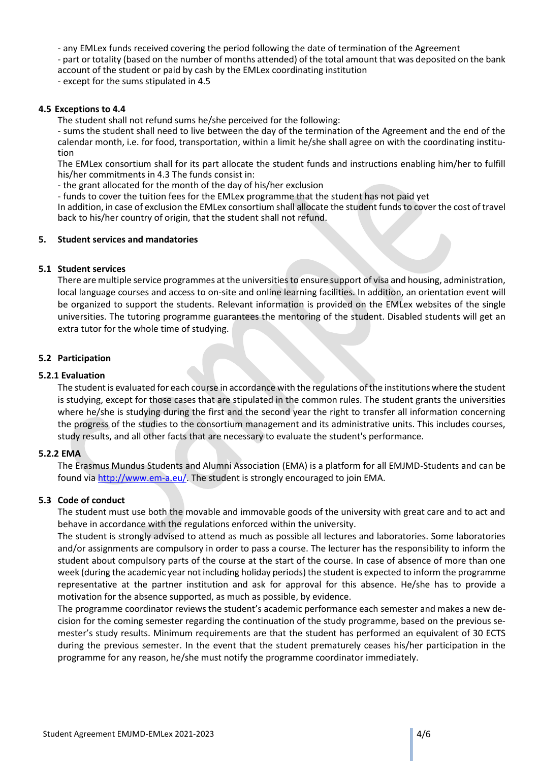- any EMLex funds received covering the period following the date of termination of the Agreement

- part or totality (based on the number of months attended) of the total amount that was deposited on the bank account of the student or paid by cash by the EMLex coordinating institution

- except for the sums stipulated in 4.5

# **4.5 Exceptions to 4.4**

The student shall not refund sums he/she perceived for the following:

- sums the student shall need to live between the day of the termination of the Agreement and the end of the calendar month, i.e. for food, transportation, within a limit he/she shall agree on with the coordinating institution

The EMLex consortium shall for its part allocate the student funds and instructions enabling him/her to fulfill his/her commitments in 4.3 The funds consist in:

- the grant allocated for the month of the day of his/her exclusion

- funds to cover the tuition fees for the EMLex programme that the student has not paid yet

In addition, in case of exclusion the EMLex consortium shall allocate the student funds to cover the cost of travel back to his/her country of origin, that the student shall not refund.

# **5. Student services and mandatories**

# **5.1 Student services**

There are multiple service programmes at the universities to ensure support of visa and housing, administration, local language courses and access to on-site and online learning facilities. In addition, an orientation event will be organized to support the students. Relevant information is provided on the EMLex websites of the single universities. The tutoring programme guarantees the mentoring of the student. Disabled students will get an extra tutor for the whole time of studying.

# **5.2 Participation**

#### **5.2.1 Evaluation**

The student is evaluated for each course in accordance with the regulations of the institutions where the student is studying, except for those cases that are stipulated in the common rules. The student grants the universities where he/she is studying during the first and the second year the right to transfer all information concerning the progress of the studies to the consortium management and its administrative units. This includes courses, study results, and all other facts that are necessary to evaluate the student's performance.

# **5.2.2 EMA**

The Erasmus Mundus Students and Alumni Association (EMA) is a platform for all EMJMD-Students and can be found via [http://www.em-a.eu/.](http://www.em-a.eu/) The student is strongly encouraged to join EMA.

# **5.3 Code of conduct**

The student must use both the movable and immovable goods of the university with great care and to act and behave in accordance with the regulations enforced within the university.

The student is strongly advised to attend as much as possible all lectures and laboratories. Some laboratories and/or assignments are compulsory in order to pass a course. The lecturer has the responsibility to inform the student about compulsory parts of the course at the start of the course. In case of absence of more than one week (during the academic year not including holiday periods) the student is expected to inform the programme representative at the partner institution and ask for approval for this absence. He/she has to provide a motivation for the absence supported, as much as possible, by evidence.

The programme coordinator reviews the student's academic performance each semester and makes a new decision for the coming semester regarding the continuation of the study programme, based on the previous semester's study results. Minimum requirements are that the student has performed an equivalent of 30 ECTS during the previous semester. In the event that the student prematurely ceases his/her participation in the programme for any reason, he/she must notify the programme coordinator immediately.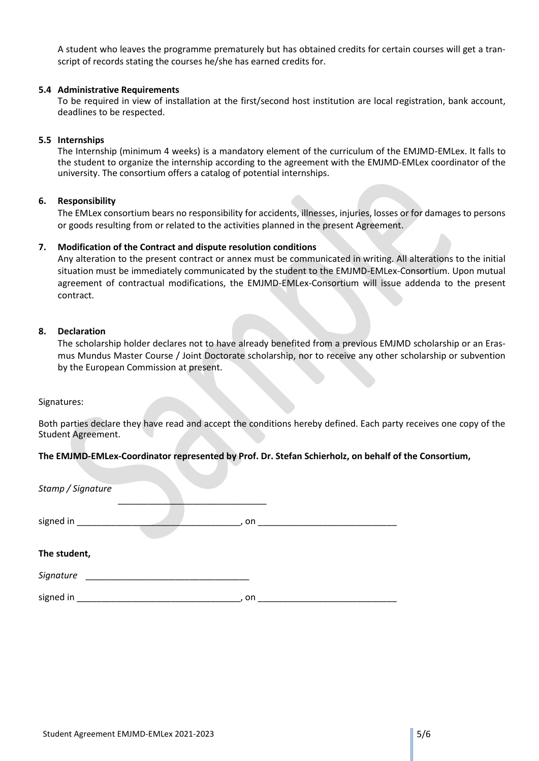A student who leaves the programme prematurely but has obtained credits for certain courses will get a transcript of records stating the courses he/she has earned credits for.

# **5.4 Administrative Requirements**

To be required in view of installation at the first/second host institution are local registration, bank account, deadlines to be respected.

#### **5.5 Internships**

The Internship (minimum 4 weeks) is a mandatory element of the curriculum of the EMJMD-EMLex. It falls to the student to organize the internship according to the agreement with the EMJMD-EMLex coordinator of the university. The consortium offers a catalog of potential internships.

#### **6. Responsibility**

The EMLex consortium bears no responsibility for accidents, illnesses, injuries, losses or for damages to persons or goods resulting from or related to the activities planned in the present Agreement.

# **7. Modification of the Contract and dispute resolution conditions**

Any alteration to the present contract or annex must be communicated in writing. All alterations to the initial situation must be immediately communicated by the student to the EMJMD-EMLex-Consortium. Upon mutual agreement of contractual modifications, the EMJMD-EMLex-Consortium will issue addenda to the present contract.

#### **8. Declaration**

The scholarship holder declares not to have already benefited from a previous EMJMD scholarship or an Erasmus Mundus Master Course / Joint Doctorate scholarship, nor to receive any other scholarship or subvention by the European Commission at present.

Signatures:

Both parties declare they have read and accept the conditions hereby defined. Each party receives one copy of the Student Agreement.

# **The EMJMD-EMLex-Coordinator represented by Prof. Dr. Stefan Schierholz, on behalf of the Consortium,**

| Stamp / Signature |                    |  |
|-------------------|--------------------|--|
| signed in         | on<br>$\mathbf{r}$ |  |
| The student,      |                    |  |
| Signature         |                    |  |
| signed in         | on                 |  |